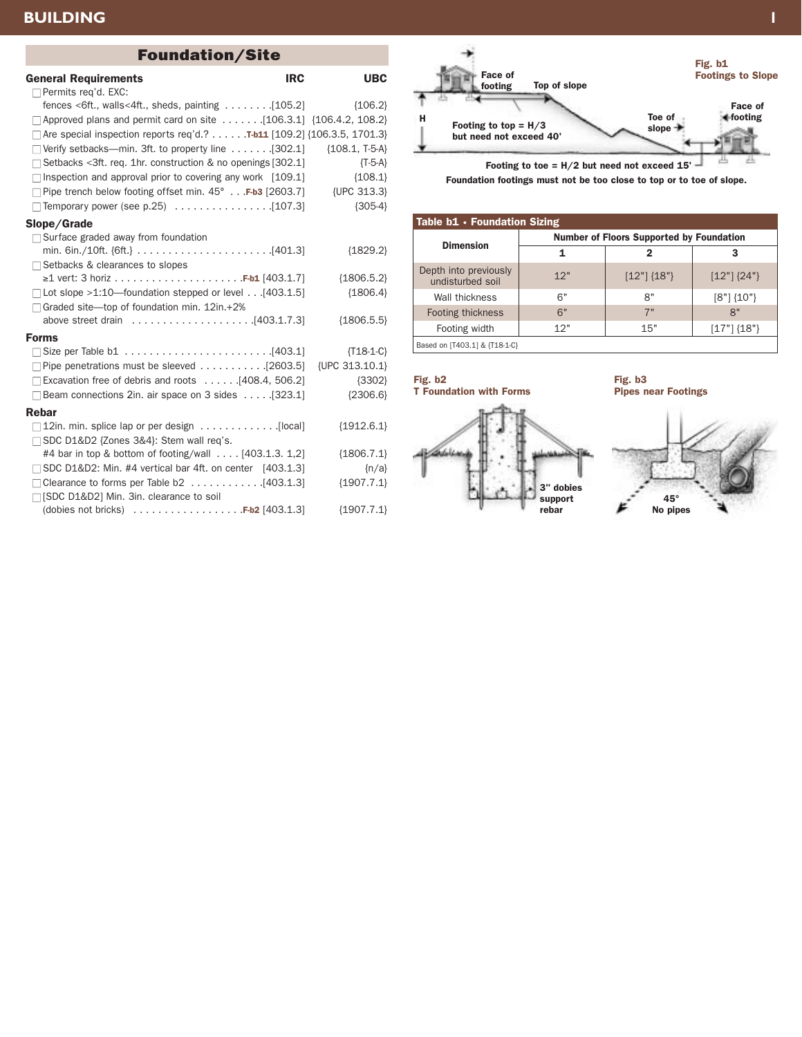## **BUILDING 1**

| <b>Foundation/Site</b>                                                     |                  |
|----------------------------------------------------------------------------|------------------|
| <b>IRC</b><br><b>General Requirements</b><br>$\Box$ Permits req'd. EXC:    | <b>UBC</b>       |
| fences <6ft., walls<4ft., sheds, painting $\dots \dots$ [105.2]            | ${106.2}$        |
| □ Approved plans and permit card on site [106.3.1] {106.4.2, 108.2}        |                  |
| □ Are special inspection reports req'd.? T-b11 [109.2] {106.3.5, 1701.3}   |                  |
| $\Box$ Verify setbacks—min. 3ft. to property line  [302.1]                 | ${108.1, T-5-A}$ |
| $\Box$ Setbacks < 3ft. req. 1hr. construction & no openings [302.1]        | $\{T-5-A\}$      |
| $\Box$ Inspection and approval prior to covering any work [109.1]          | ${108.1}$        |
| $\Box$ Pipe trench below footing offset min. 45° F-b3 [2603.7] {UPC 313.3} |                  |
|                                                                            | ${305-4}$        |
| Slope/Grade                                                                |                  |
| $\Box$ Surface graded away from foundation                                 | ${1829.2}$       |
| □ Setbacks & clearances to slopes                                          |                  |
|                                                                            | ${1806.5.2}$     |
| $\Box$ Lot slope >1:10—foundation stepped or level [403.1.5]               | ${1806.4}$       |
| $\Box$ Graded site-top of foundation min. 12in.+2%                         |                  |
|                                                                            | ${1806.5.5}$     |
| <b>Forms</b>                                                               |                  |
|                                                                            | ${T18-1-C}$      |
|                                                                            | {UPC 313.10.1}   |
| $\Box$ Excavation free of debris and roots  [408.4, 506.2]                 | ${3302}$         |
| $\Box$ Beam connections 2in. air space on 3 sides  [323.1]                 | ${2306.6}$       |
| <b>Rebar</b>                                                               |                  |
|                                                                            | ${1912.6.1}$     |
| □ SDC D1&D2 {Zones 3&4}: Stem wall req's.                                  |                  |
| #4 bar in top & bottom of footing/wall [403.1.3. 1,2]                      | ${1806.7.1}$     |
| $\Box$ SDC D1&D2: Min. #4 vertical bar 4ft. on center [403.1.3]            | $\{n/a\}$        |
| □ Clearance to forms per Table b2 [403.1.3]                                | ${1907.7.1}$     |
| □ [SDC D1&D2] Min. 3in. clearance to soil                                  |                  |
| (dobies not bricks) $\ldots \ldots \ldots \ldots \ldots$ . F-b2 [403.1.3]  | ${1907.7.1}$     |



Foundation footings must not be too close to top or to toe of slope.

| Table b1 • Foundation Sizing              |                                                 |               |                |
|-------------------------------------------|-------------------------------------------------|---------------|----------------|
| <b>Dimension</b>                          | <b>Number of Floors Supported by Foundation</b> |               |                |
|                                           | 1                                               | 2             | 3              |
| Depth into previously<br>undisturbed soil | 12"                                             | $[12"]$ {18"} | $[12"]$ {24"}  |
| Wall thickness                            | 6"                                              | 8"            | $[8"] \{10"\}$ |
| Footing thickness                         | 6"                                              | 7"            | 8"             |
| Footing width                             | 12"                                             | 15"           | $[17"]$ {18"}  |
| Based on [T403.1] & {T18-1-C}             |                                                 |               |                |

3" dobies support rebar Fig. b2 T Foundation with Forms

Fig. b3 Pipes near Footings